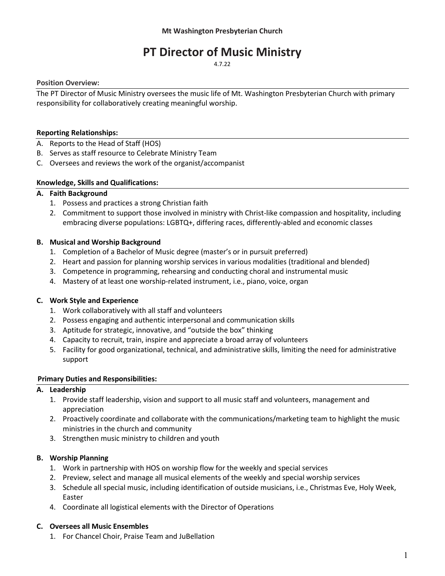# PT Director of Music Ministry

4.7.22

## Position Overview:

The PT Director of Music Ministry oversees the music life of Mt. Washington Presbyterian Church with primary responsibility for collaboratively creating meaningful worship.

## Reporting Relationships:

- A. Reports to the Head of Staff (HOS)
- B. Serves as staff resource to Celebrate Ministry Team
- C. Oversees and reviews the work of the organist/accompanist

## Knowledge, Skills and Qualifications:

# A. Faith Background

- 1. Possess and practices a strong Christian faith
- 2. Commitment to support those involved in ministry with Christ-like compassion and hospitality, including embracing diverse populations: LGBTQ+, differing races, differently-abled and economic classes

## B. Musical and Worship Background

- 1. Completion of a Bachelor of Music degree (master's or in pursuit preferred)
- 2. Heart and passion for planning worship services in various modalities (traditional and blended)
- 3. Competence in programming, rehearsing and conducting choral and instrumental music
- 4. Mastery of at least one worship-related instrument, i.e., piano, voice, organ

#### C. Work Style and Experience

- 1. Work collaboratively with all staff and volunteers
- 2. Possess engaging and authentic interpersonal and communication skills
- 3. Aptitude for strategic, innovative, and "outside the box" thinking
- 4. Capacity to recruit, train, inspire and appreciate a broad array of volunteers
- 5. Facility for good organizational, technical, and administrative skills, limiting the need for administrative support

#### Primary Duties and Responsibilities:

#### A. Leadership

- 1. Provide staff leadership, vision and support to all music staff and volunteers, management and appreciation
- 2. Proactively coordinate and collaborate with the communications/marketing team to highlight the music ministries in the church and community
- 3. Strengthen music ministry to children and youth

# B. Worship Planning

- 1. Work in partnership with HOS on worship flow for the weekly and special services
- 2. Preview, select and manage all musical elements of the weekly and special worship services
- 3. Schedule all special music, including identification of outside musicians, i.e., Christmas Eve, Holy Week, Easter
- 4. Coordinate all logistical elements with the Director of Operations

# C. Oversees all Music Ensembles

1. For Chancel Choir, Praise Team and JuBellation